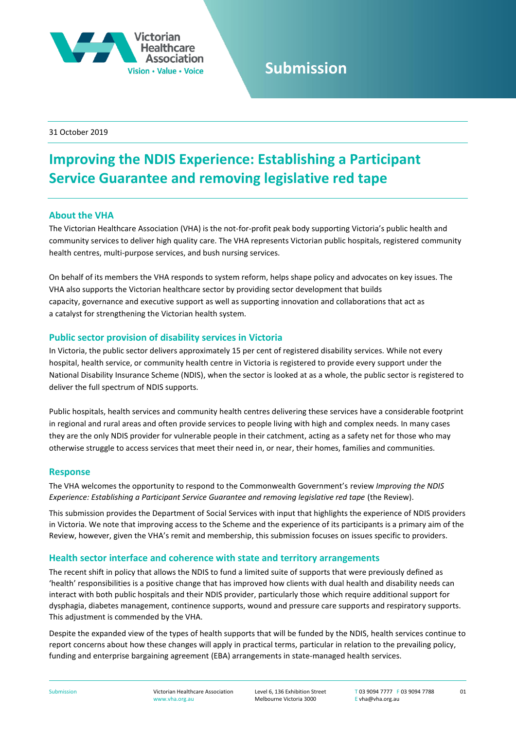

# **Submission**

31 October 2019

# **Improving the NDIS Experience: Establishing a Participant Service Guarantee and removing legislative red tape**

# **About the VHA**

The Victorian Healthcare Association (VHA) is the not-for-profit peak body supporting Victoria's public health and community services to deliver high quality care. The VHA represents Victorian public hospitals, registered community health centres, multi-purpose services, and bush nursing services.

On behalf of its members the VHA responds to system reform, helps shape policy and advocates on key issues. The VHA also supports the Victorian healthcare sector by providing sector development that builds capacity, governance and executive support as well as supporting innovation and collaborations that act as a catalyst for strengthening the Victorian health system.

# **Public sector provision of disability services in Victoria**

In Victoria, the public sector delivers approximately 15 per cent of registered disability services. While not every hospital, health service, or community health centre in Victoria is registered to provide every support under the National Disability Insurance Scheme (NDIS), when the sector is looked at as a whole, the public sector is registered to deliver the full spectrum of NDIS supports.

Public hospitals, health services and community health centres delivering these services have a considerable footprint in regional and rural areas and often provide services to people living with high and complex needs. In many cases they are the only NDIS provider for vulnerable people in their catchment, acting as a safety net for those who may otherwise struggle to access services that meet their need in, or near, their homes, families and communities.

## **Response**

The VHA welcomes the opportunity to respond to the Commonwealth Government's review *Improving the NDIS Experience: Establishing a Participant Service Guarantee and removing legislative red tape* (the Review).

This submission provides the Department of Social Services with input that highlights the experience of NDIS providers in Victoria. We note that improving access to the Scheme and the experience of its participants is a primary aim of the Review, however, given the VHA's remit and membership, this submission focuses on issues specific to providers.

## **Health sector interface and coherence with state and territory arrangements**

The recent shift in policy that allows the NDIS to fund a limited suite of supports that were previously defined as 'health' responsibilities is a positive change that has improved how clients with dual health and disability needs can interact with both public hospitals and their NDIS provider, particularly those which require additional support for dysphagia, diabetes management, continence supports, wound and pressure care supports and respiratory supports. This adjustment is commended by the VHA.

Despite the expanded view of the types of health supports that will be funded by the NDIS, health services continue to report concerns about how these changes will apply in practical terms, particular in relation to the prevailing policy, funding and enterprise bargaining agreement (EBA) arrangements in state-managed health services.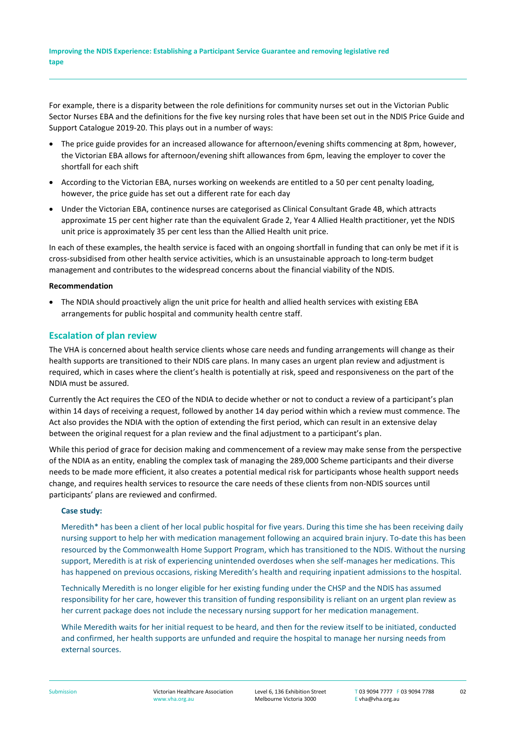For example, there is a disparity between the role definitions for community nurses set out in the Victorian Public Sector Nurses EBA and the definitions for the five key nursing roles that have been set out in the NDIS Price Guide and Support Catalogue 2019-20. This plays out in a number of ways:

- The price guide provides for an increased allowance for afternoon/evening shifts commencing at 8pm, however, the Victorian EBA allows for afternoon/evening shift allowances from 6pm, leaving the employer to cover the shortfall for each shift
- According to the Victorian EBA, nurses working on weekends are entitled to a 50 per cent penalty loading, however, the price guide has set out a different rate for each day
- Under the Victorian EBA, continence nurses are categorised as Clinical Consultant Grade 4B, which attracts approximate 15 per cent higher rate than the equivalent Grade 2, Year 4 Allied Health practitioner, yet the NDIS unit price is approximately 35 per cent less than the Allied Health unit price.

In each of these examples, the health service is faced with an ongoing shortfall in funding that can only be met if it is cross-subsidised from other health service activities, which is an unsustainable approach to long-term budget management and contributes to the widespread concerns about the financial viability of the NDIS.

#### **Recommendation**

 The NDIA should proactively align the unit price for health and allied health services with existing EBA arrangements for public hospital and community health centre staff.

# **Escalation of plan review**

The VHA is concerned about health service clients whose care needs and funding arrangements will change as their health supports are transitioned to their NDIS care plans. In many cases an urgent plan review and adjustment is required, which in cases where the client's health is potentially at risk, speed and responsiveness on the part of the NDIA must be assured.

Currently the Act requires the CEO of the NDIA to decide whether or not to conduct a review of a participant's plan within 14 days of receiving a request, followed by another 14 day period within which a review must commence. The Act also provides the NDIA with the option of extending the first period, which can result in an extensive delay between the original request for a plan review and the final adjustment to a participant's plan.

While this period of grace for decision making and commencement of a review may make sense from the perspective of the NDIA as an entity, enabling the complex task of managing the 289,000 Scheme participants and their diverse needs to be made more efficient, it also creates a potential medical risk for participants whose health support needs change, and requires health services to resource the care needs of these clients from non-NDIS sources until participants' plans are reviewed and confirmed.

#### **Case study:**

Meredith\* has been a client of her local public hospital for five years. During this time she has been receiving daily nursing support to help her with medication management following an acquired brain injury. To-date this has been resourced by the Commonwealth Home Support Program, which has transitioned to the NDIS. Without the nursing support, Meredith is at risk of experiencing unintended overdoses when she self-manages her medications. This has happened on previous occasions, risking Meredith's health and requiring inpatient admissions to the hospital.

Technically Meredith is no longer eligible for her existing funding under the CHSP and the NDIS has assumed responsibility for her care, however this transition of funding responsibility is reliant on an urgent plan review as her current package does not include the necessary nursing support for her medication management.

While Meredith waits for her initial request to be heard, and then for the review itself to be initiated, conducted and confirmed, her health supports are unfunded and require the hospital to manage her nursing needs from external sources.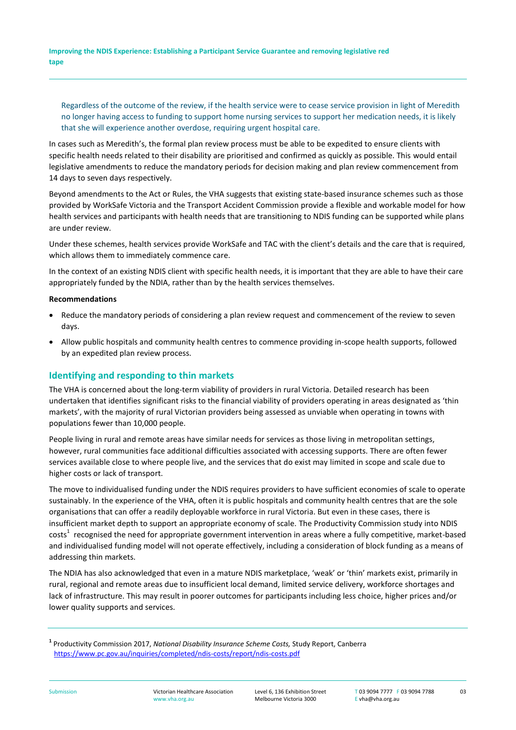**Improving the NDIS Experience: Establishing a Participant Service Guarantee and removing legislative red tape Submission**

Regardless of the outcome of the review, if the health service were to cease service provision in light of Meredith no longer having access to funding to support home nursing services to support her medication needs, it is likely that she will experience another overdose, requiring urgent hospital care.

In cases such as Meredith's, the formal plan review process must be able to be expedited to ensure clients with specific health needs related to their disability are prioritised and confirmed as quickly as possible. This would entail legislative amendments to reduce the mandatory periods for decision making and plan review commencement from 14 days to seven days respectively.

Beyond amendments to the Act or Rules, the VHA suggests that existing state-based insurance schemes such as those provided by WorkSafe Victoria and the Transport Accident Commission provide a flexible and workable model for how health services and participants with health needs that are transitioning to NDIS funding can be supported while plans are under review.

Under these schemes, health services provide WorkSafe and TAC with the client's details and the care that is required, which allows them to immediately commence care.

In the context of an existing NDIS client with specific health needs, it is important that they are able to have their care appropriately funded by the NDIA, rather than by the health services themselves.

#### **Recommendations**

- Reduce the mandatory periods of considering a plan review request and commencement of the review to seven days.
- Allow public hospitals and community health centres to commence providing in-scope health supports, followed by an expedited plan review process.

## **Identifying and responding to thin markets**

The VHA is concerned about the long-term viability of providers in rural Victoria. Detailed research has been undertaken that identifies significant risks to the financial viability of providers operating in areas designated as 'thin markets', with the majority of rural Victorian providers being assessed as unviable when operating in towns with populations fewer than 10,000 people.

People living in rural and remote areas have similar needs for services as those living in metropolitan settings, however, rural communities face additional difficulties associated with accessing supports. There are often fewer services available close to where people live, and the services that do exist may limited in scope and scale due to higher costs or lack of transport.

The move to individualised funding under the NDIS requires providers to have sufficient economies of scale to operate sustainably. In the experience of the VHA, often it is public hospitals and community health centres that are the sole organisations that can offer a readily deployable workforce in rural Victoria. But even in these cases, there is insufficient market depth to support an appropriate economy of scale. The Productivity Commission study into NDIS  $costs<sup>1</sup>$  recognised the need for appropriate government intervention in areas where a fully competitive, market-based and individualised funding model will not operate effectively, including a consideration of block funding as a means of addressing thin markets.

The NDIA has also acknowledged that even in a mature NDIS marketplace, 'weak' or 'thin' markets exist, primarily in rural, regional and remote areas due to insufficient local demand, limited service delivery, workforce shortages and lack of infrastructure. This may result in poorer outcomes for participants including less choice, higher prices and/or lower quality supports and services.

**<sup>1</sup>** Productivity Commission 2017, *National Disability Insurance Scheme Costs,* Study Report, Canberra <https://www.pc.gov.au/inquiries/completed/ndis-costs/report/ndis-costs.pdf>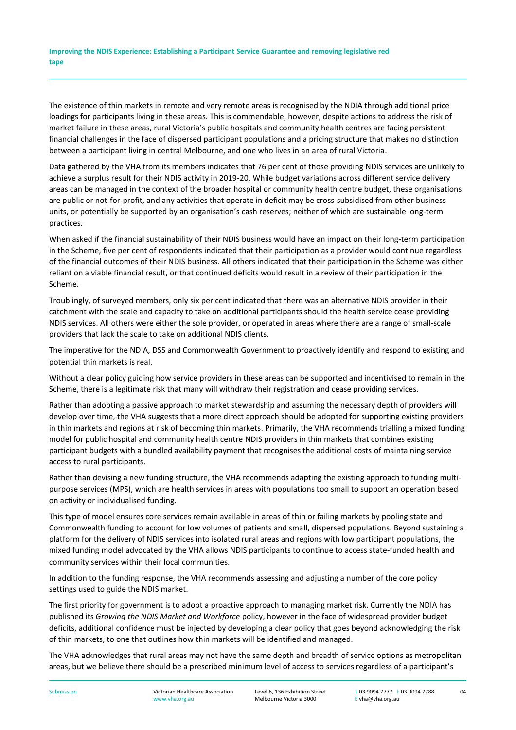**Improving the NDIS Experience: Establishing a Participant Service Guarantee and removing legislative red tape Submission**

The existence of thin markets in remote and very remote areas is recognised by the NDIA through additional price loadings for participants living in these areas. This is commendable, however, despite actions to address the risk of market failure in these areas, rural Victoria's public hospitals and community health centres are facing persistent financial challenges in the face of dispersed participant populations and a pricing structure that makes no distinction between a participant living in central Melbourne, and one who lives in an area of rural Victoria.

Data gathered by the VHA from its members indicates that 76 per cent of those providing NDIS services are unlikely to achieve a surplus result for their NDIS activity in 2019-20. While budget variations across different service delivery areas can be managed in the context of the broader hospital or community health centre budget, these organisations are public or not-for-profit, and any activities that operate in deficit may be cross-subsidised from other business units, or potentially be supported by an organisation's cash reserves; neither of which are sustainable long-term practices.

When asked if the financial sustainability of their NDIS business would have an impact on their long-term participation in the Scheme, five per cent of respondents indicated that their participation as a provider would continue regardless of the financial outcomes of their NDIS business. All others indicated that their participation in the Scheme was either reliant on a viable financial result, or that continued deficits would result in a review of their participation in the Scheme.

Troublingly, of surveyed members, only six per cent indicated that there was an alternative NDIS provider in their catchment with the scale and capacity to take on additional participants should the health service cease providing NDIS services. All others were either the sole provider, or operated in areas where there are a range of small-scale providers that lack the scale to take on additional NDIS clients.

The imperative for the NDIA, DSS and Commonwealth Government to proactively identify and respond to existing and potential thin markets is real.

Without a clear policy guiding how service providers in these areas can be supported and incentivised to remain in the Scheme, there is a legitimate risk that many will withdraw their registration and cease providing services.

Rather than adopting a passive approach to market stewardship and assuming the necessary depth of providers will develop over time, the VHA suggests that a more direct approach should be adopted for supporting existing providers in thin markets and regions at risk of becoming thin markets. Primarily, the VHA recommends trialling a mixed funding model for public hospital and community health centre NDIS providers in thin markets that combines existing participant budgets with a bundled availability payment that recognises the additional costs of maintaining service access to rural participants.

Rather than devising a new funding structure, the VHA recommends adapting the existing approach to funding multipurpose services (MPS), which are health services in areas with populations too small to support an operation based on activity or individualised funding.

This type of model ensures core services remain available in areas of thin or failing markets by pooling state and Commonwealth funding to account for low volumes of patients and small, dispersed populations. Beyond sustaining a platform for the delivery of NDIS services into isolated rural areas and regions with low participant populations, the mixed funding model advocated by the VHA allows NDIS participants to continue to access state-funded health and community services within their local communities.

In addition to the funding response, the VHA recommends assessing and adjusting a number of the core policy settings used to guide the NDIS market.

The first priority for government is to adopt a proactive approach to managing market risk. Currently the NDIA has published its *Growing the NDIS Market and Workforce* policy, however in the face of widespread provider budget deficits, additional confidence must be injected by developing a clear policy that goes beyond acknowledging the risk of thin markets, to one that outlines how thin markets will be identified and managed.

The VHA acknowledges that rural areas may not have the same depth and breadth of service options as metropolitan areas, but we believe there should be a prescribed minimum level of access to services regardless of a participant's